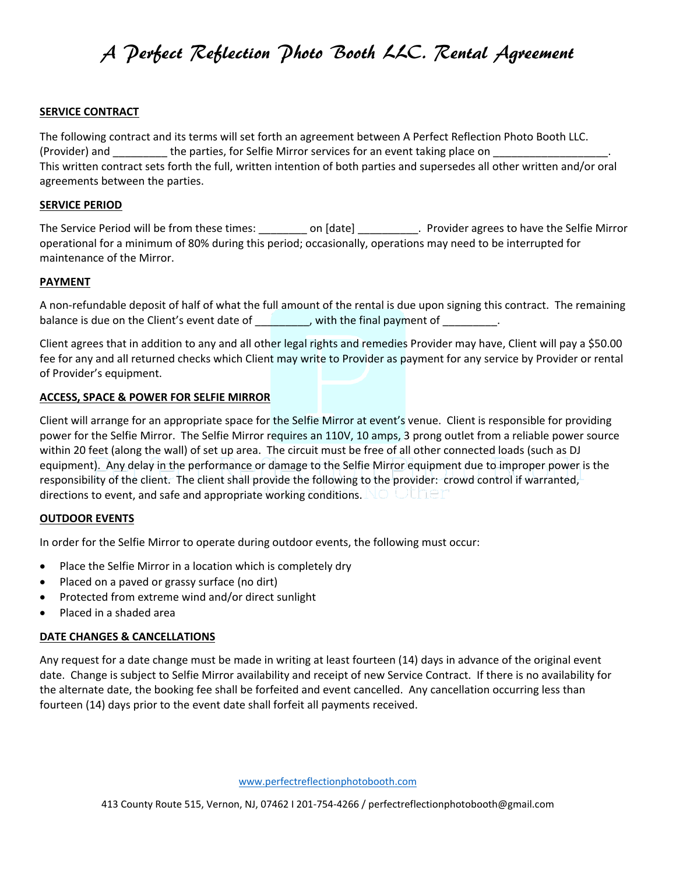### **SERVICE CONTRACT**

The following contract and its terms will set forth an agreement between A Perfect Reflection Photo Booth LLC. (Provider) and \_\_\_\_\_\_\_\_\_\_\_ the parties, for Selfie Mirror services for an event taking place on This written contract sets forth the full, written intention of both parties and supersedes all other written and/or oral agreements between the parties.

### **SERVICE PERIOD**

The Service Period will be from these times: \_\_\_\_\_\_\_\_\_ on [date] \_\_\_\_\_\_\_\_\_\_. Provider agrees to have the Selfie Mirror operational for a minimum of 80% during this period; occasionally, operations may need to be interrupted for maintenance of the Mirror.

### **PAYMENT**

A non-refundable deposit of half of what the full amount of the rental is due upon signing this contract. The remaining balance is due on the Client's event date of \_\_\_\_\_\_\_\_, with the final payment of \_\_\_\_\_\_\_\_.

Client agrees that in addition to any and all other legal rights and remedies Provider may have, Client will pay a \$50.00 fee for any and all returned checks which Client may write to Provider as payment for any service by Provider or rental of Provider's equipment.

### **ACCESS, SPACE & POWER FOR SELFIE MIRROR**

Client will arrange for an appropriate space for the Selfie Mirror at event's venue. Client is responsible for providing power for the Selfie Mirror. The Selfie Mirror requires an 110V, 10 amps, 3 prong outlet from a reliable power source within 20 feet (along the wall) of set up area. The circuit must be free of all other connected loads (such as DJ equipment). Any delay in the performance or damage to the Selfie Mirror equipment due to improper power is the responsibility of the client. The client shall provide the following to the provider: crowd control if warranted, directions to event, and safe and appropriate working conditions. NO ULLET

### **OUTDOOR EVENTS**

In order for the Selfie Mirror to operate during outdoor events, the following must occur:

- Place the Selfie Mirror in a location which is completely dry
- Placed on a paved or grassy surface (no dirt)
- Protected from extreme wind and/or direct sunlight
- Placed in a shaded area

### **DATE CHANGES & CANCELLATIONS**

Any request for a date change must be made in writing at least fourteen (14) days in advance of the original event date. Change is subject to Selfie Mirror availability and receipt of new Service Contract. If there is no availability for the alternate date, the booking fee shall be forfeited and event cancelled. Any cancellation occurring less than fourteen (14) days prior to the event date shall forfeit all payments received.

[www.perfectreflectionphotobooth.com](http://www.perfectreflectionphotobooth.com/)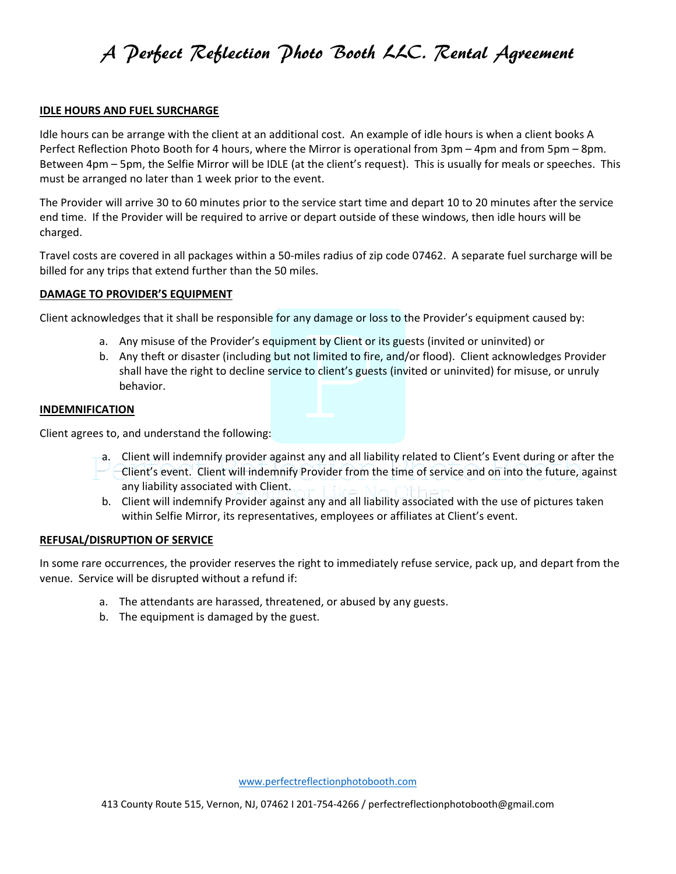### **IDLE HOURS AND FUEL SURCHARGE**

Idle hours can be arrange with the client at an additional cost. An example of idle hours is when a client books A Perfect Reflection Photo Booth for 4 hours, where the Mirror is operational from 3pm – 4pm and from 5pm – 8pm. Between 4pm – 5pm, the Selfie Mirror will be IDLE (at the client's request). This is usually for meals or speeches. This must be arranged no later than 1 week prior to the event.

The Provider will arrive 30 to 60 minutes prior to the service start time and depart 10 to 20 minutes after the service end time. If the Provider will be required to arrive or depart outside of these windows, then idle hours will be charged.

Travel costs are covered in all packages within a 50-miles radius of zip code 07462. A separate fuel surcharge will be billed for any trips that extend further than the 50 miles.

### **DAMAGE TO PROVIDER'S EQUIPMENT**

Client acknowledges that it shall be responsible for any damage or loss to the Provider's equipment caused by:

- a. Any misuse of the Provider's equipment by Client or its guests (invited or uninvited) or
- b. Any theft or disaster (including but not limited to fire, and/or flood). Client acknowledges Provider shall have the right to decline service to client's guests (invited or uninvited) for misuse, or unruly behavior.

### **INDEMNIFICATION**

Client agrees to, and understand the following:

- a. Client will indemnify provider against any and all liability related to Client's Event during or after the  $\sim$  -Client's event. Client will indemnify Provider from the time of service and on into the future, against any liability associated with Client.
- b. Client will indemnify Provider against any and all liability associated with the use of pictures taken within Selfie Mirror, its representatives, employees or affiliates at Client's event.

### **REFUSAL/DISRUPTION OF SERVICE**

In some rare occurrences, the provider reserves the right to immediately refuse service, pack up, and depart from the venue. Service will be disrupted without a refund if:

- a. The attendants are harassed, threatened, or abused by any guests.
- b. The equipment is damaged by the guest.

[www.perfectreflectionphotobooth.com](http://www.perfectreflectionphotobooth.com/)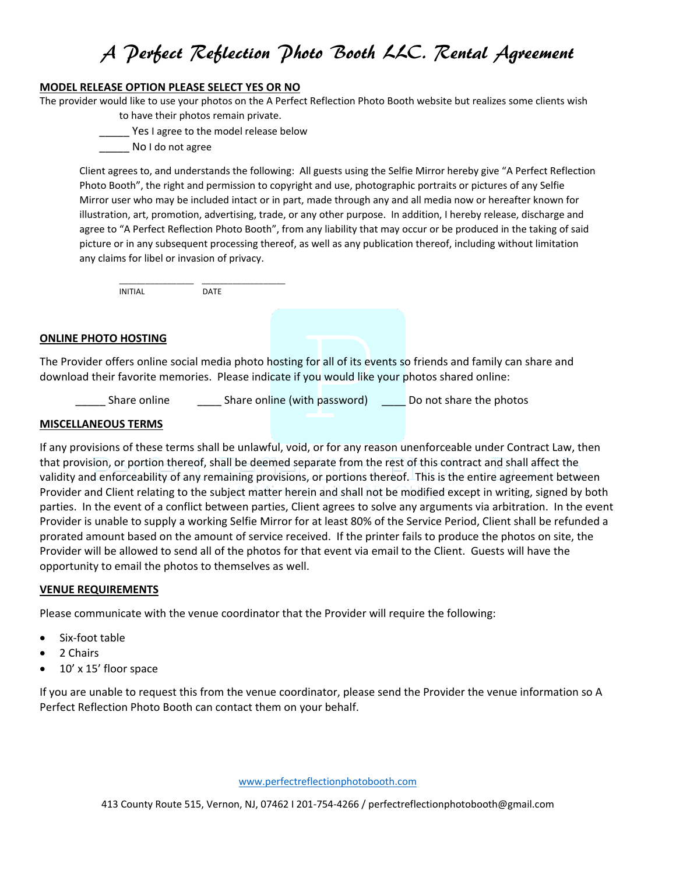### **MODEL RELEASE OPTION PLEASE SELECT YES OR NO**

The provider would like to use your photos on the A Perfect Reflection Photo Booth website but realizes some clients wish to have their photos remain private.

- **\_\_\_\_\_** Yes I agree to the model release below
- No I do not agree

Client agrees to, and understands the following: All guests using the Selfie Mirror hereby give "A Perfect Reflection Photo Booth", the right and permission to copyright and use, photographic portraits or pictures of any Selfie Mirror user who may be included intact or in part, made through any and all media now or hereafter known for illustration, art, promotion, advertising, trade, or any other purpose. In addition, I hereby release, discharge and agree to "A Perfect Reflection Photo Booth", from any liability that may occur or be produced in the taking of said picture or in any subsequent processing thereof, as well as any publication thereof, including without limitation any claims for libel or invasion of privacy.

\_\_\_\_\_\_\_\_\_\_\_\_\_\_\_\_\_ \_\_\_\_\_\_\_\_\_\_\_\_\_\_\_\_\_\_\_ INITIAL DATE

### **ONLINE PHOTO HOSTING**

The Provider offers online social media photo hosting for all of its events so friends and family can share and download their favorite memories. Please indicate if you would like your photos shared online:

Share online Share online (with password) Do not share the photos

### **MISCELLANEOUS TERMS**

If any provisions of these terms shall be unlawful, void, or for any reason unenforceable under Contract Law, then that provision, or portion thereof, shall be deemed separate from the rest of this contract and shall affect the validity and enforceability of any remaining provisions, or portions thereof. This is the entire agreement between Provider and Client relating to the subject matter herein and shall not be modified except in writing, signed by both parties. In the event of a conflict between parties, Client agrees to solve any arguments via arbitration. In the event Provider is unable to supply a working Selfie Mirror for at least 80% of the Service Period, Client shall be refunded a prorated amount based on the amount of service received. If the printer fails to produce the photos on site, the Provider will be allowed to send all of the photos for that event via email to the Client. Guests will have the opportunity to email the photos to themselves as well.

### **VENUE REQUIREMENTS**

Please communicate with the venue coordinator that the Provider will require the following:

- Six-foot table
- 2 Chairs
- 10' x 15' floor space

If you are unable to request this from the venue coordinator, please send the Provider the venue information so A Perfect Reflection Photo Booth can contact them on your behalf.

[www.perfectreflectionphotobooth.com](http://www.perfectreflectionphotobooth.com/)